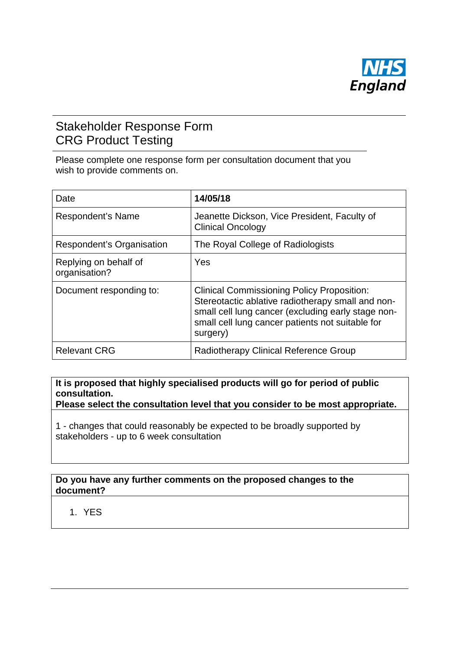

## Stakeholder Response Form CRG Product Testing

Please complete one response form per consultation document that you wish to provide comments on.

| Date                                   | 14/05/18                                                                                                                                                                                                                     |
|----------------------------------------|------------------------------------------------------------------------------------------------------------------------------------------------------------------------------------------------------------------------------|
| Respondent's Name                      | Jeanette Dickson, Vice President, Faculty of<br><b>Clinical Oncology</b>                                                                                                                                                     |
| Respondent's Organisation              | The Royal College of Radiologists                                                                                                                                                                                            |
| Replying on behalf of<br>organisation? | Yes                                                                                                                                                                                                                          |
| Document responding to:                | <b>Clinical Commissioning Policy Proposition:</b><br>Stereotactic ablative radiotherapy small and non-<br>small cell lung cancer (excluding early stage non-<br>small cell lung cancer patients not suitable for<br>surgery) |
| <b>Relevant CRG</b>                    | <b>Radiotherapy Clinical Reference Group</b>                                                                                                                                                                                 |

**It is proposed that highly specialised products will go for period of public consultation.**

**Please select the consultation level that you consider to be most appropriate.**

1 - changes that could reasonably be expected to be broadly supported by stakeholders - up to 6 week consultation

## **Do you have any further comments on the proposed changes to the document?**

1. YES